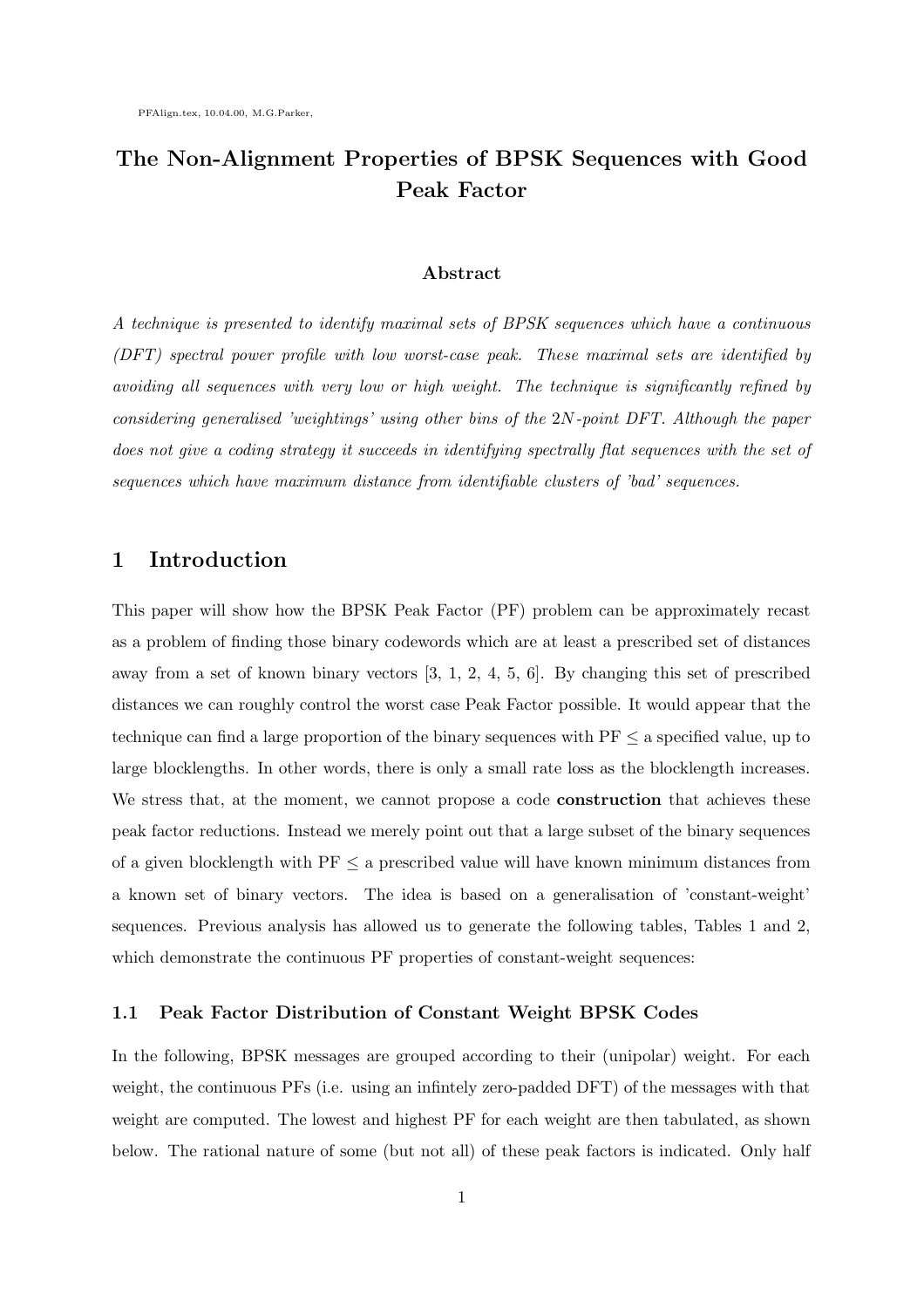# The Non-Alignment Properties of BPSK Sequences with Good Peak Factor

#### Abstract

A technique is presented to identify maximal sets of BPSK sequences which have a continuous (DFT) spectral power profile with low worst-case peak. These maximal sets are identified by avoiding all sequences with very low or high weight. The technique is significantly refined by considering generalised 'weightings' using other bins of the 2N-point DFT. Although the paper does not give a coding strategy it succeeds in identifying spectrally flat sequences with the set of sequences which have maximum distance from identifiable clusters of 'bad' sequences.

### 1 Introduction

This paper will show how the BPSK Peak Factor (PF) problem can be approximately recast as a problem of finding those binary codewords which are at least a prescribed set of distances away from a set of known binary vectors [3, 1, 2, 4, 5, 6]. By changing this set of prescribed distances we can roughly control the worst case Peak Factor possible. It would appear that the technique can find a large proportion of the binary sequences with  $PF \le a$  specified value, up to large blocklengths. In other words, there is only a small rate loss as the blocklength increases. We stress that, at the moment, we cannot propose a code **construction** that achieves these peak factor reductions. Instead we merely point out that a large subset of the binary sequences of a given blocklength with  $PF \le a$  prescribed value will have known minimum distances from a known set of binary vectors. The idea is based on a generalisation of 'constant-weight' sequences. Previous analysis has allowed us to generate the following tables, Tables 1 and 2, which demonstrate the continuous PF properties of constant-weight sequences:

#### 1.1 Peak Factor Distribution of Constant Weight BPSK Codes

In the following, BPSK messages are grouped according to their (unipolar) weight. For each weight, the continuous PFs (i.e. using an infintely zero-padded DFT) of the messages with that weight are computed. The lowest and highest PF for each weight are then tabulated, as shown below. The rational nature of some (but not all) of these peak factors is indicated. Only half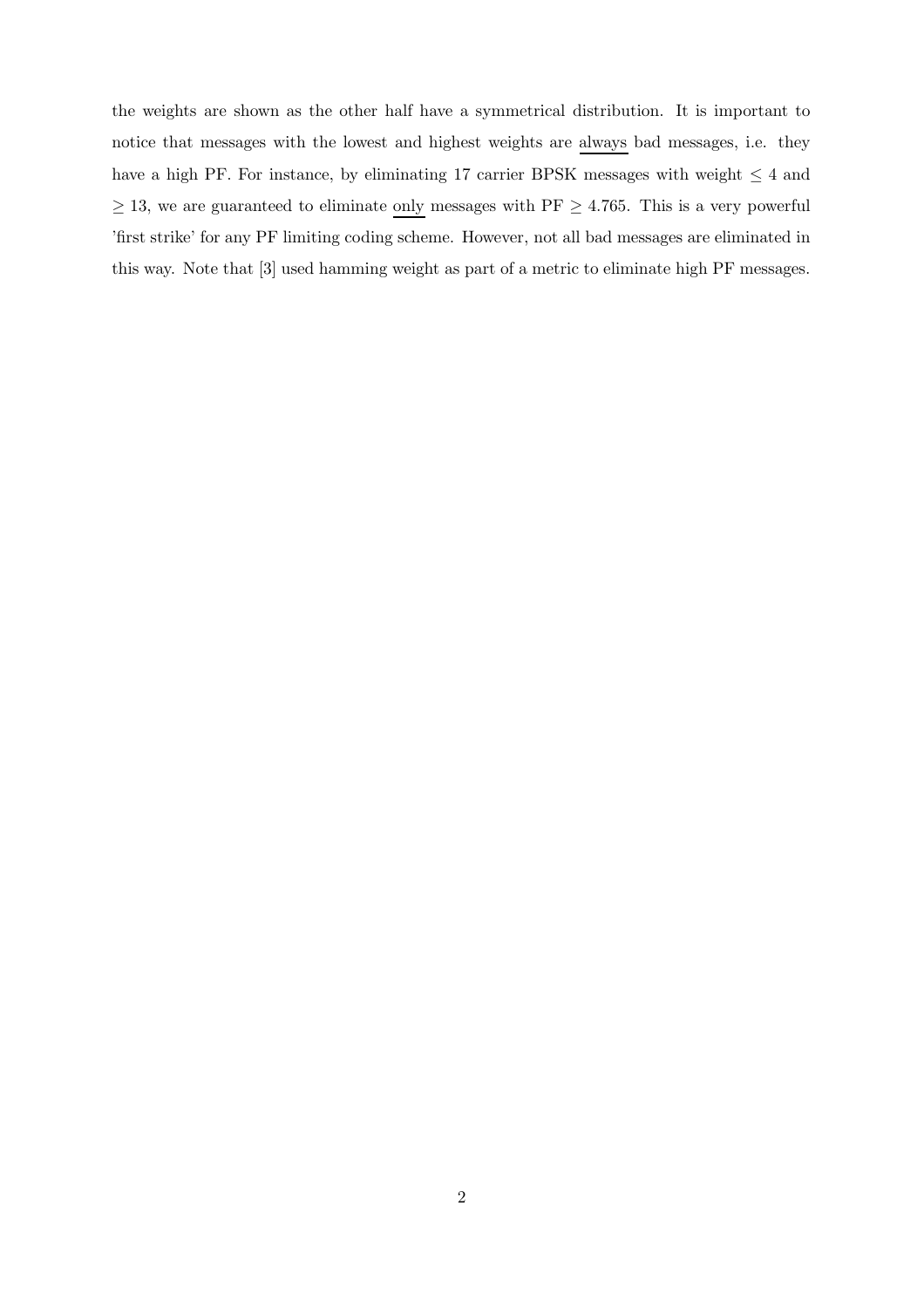the weights are shown as the other half have a symmetrical distribution. It is important to notice that messages with the lowest and highest weights are always bad messages, i.e. they have a high PF. For instance, by eliminating 17 carrier BPSK messages with weight  $\leq 4$  and  $\geq$  13, we are guaranteed to eliminate <u>only</u> messages with PF  $\geq$  4.765. This is a very powerful 'first strike' for any PF limiting coding scheme. However, not all bad messages are eliminated in this way. Note that [3] used hamming weight as part of a metric to eliminate high PF messages.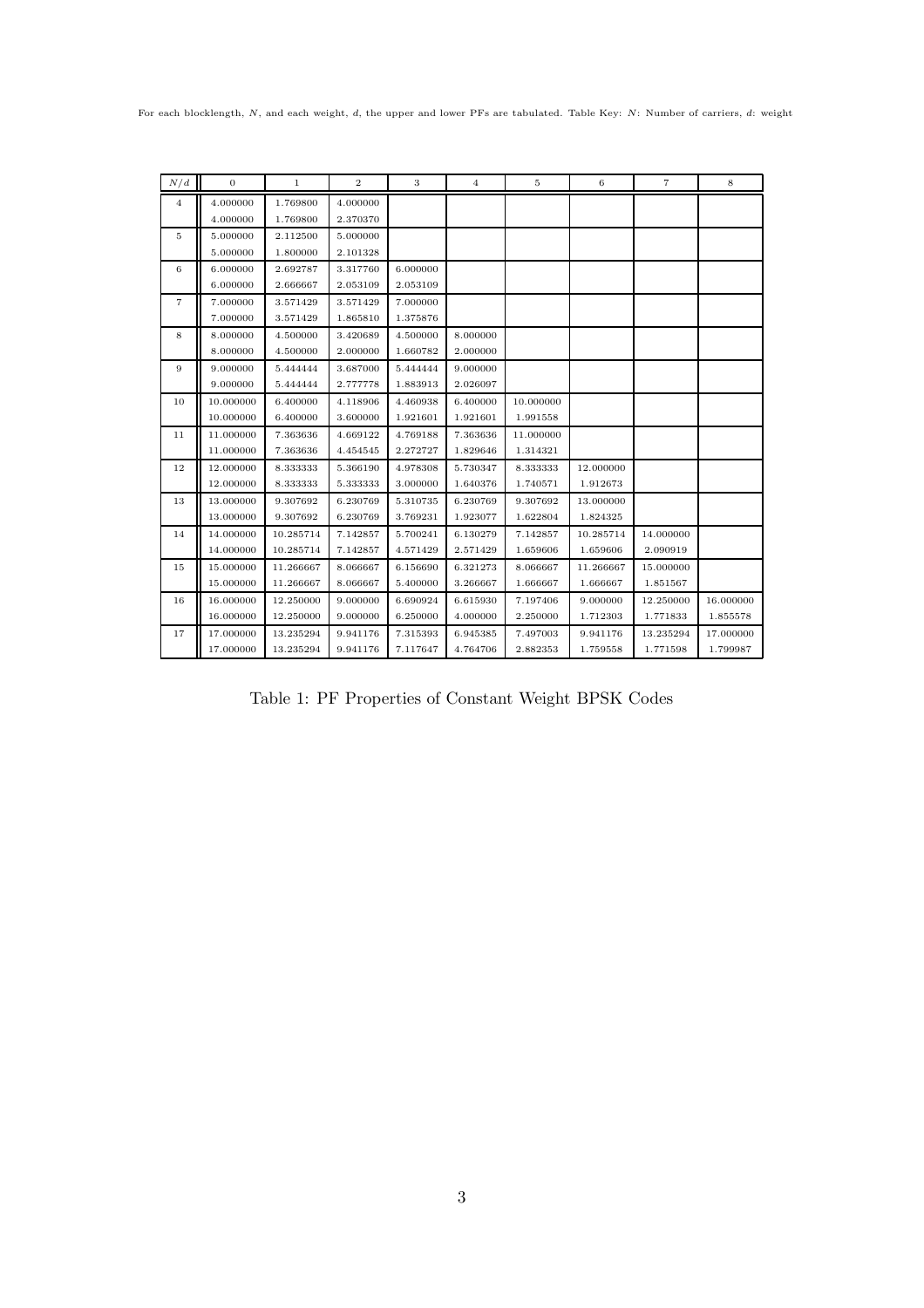For each blocklength, N, and each weight, d, the upper and lower PFs are tabulated. Table Key: N: Number of carriers, d: weight

| N/d            | $\mathbf{0}$ | 1         | $\boldsymbol{2}$ | 3        | 4        | 5         | 6         | $\overline{7}$ | 8         |
|----------------|--------------|-----------|------------------|----------|----------|-----------|-----------|----------------|-----------|
| $\overline{4}$ | 4.000000     | 1.769800  | 4.000000         |          |          |           |           |                |           |
|                | 4.000000     | 1.769800  | 2.370370         |          |          |           |           |                |           |
| 5              | 5.000000     | 2.112500  | 5.000000         |          |          |           |           |                |           |
|                | 5.000000     | 1.800000  | 2.101328         |          |          |           |           |                |           |
| 6              | 6.000000     | 2.692787  | 3.317760         | 6.000000 |          |           |           |                |           |
|                | 6.000000     | 2.666667  | 2.053109         | 2.053109 |          |           |           |                |           |
| 7              | 7.000000     | 3.571429  | 3.571429         | 7.000000 |          |           |           |                |           |
|                | 7.000000     | 3.571429  | 1.865810         | 1.375876 |          |           |           |                |           |
| 8              | 8.000000     | 4.500000  | 3.420689         | 4.500000 | 8.000000 |           |           |                |           |
|                | 8.000000     | 4.500000  | 2.000000         | 1.660782 | 2.000000 |           |           |                |           |
| 9              | 9.000000     | 5.444444  | 3.687000         | 5.444444 | 9.000000 |           |           |                |           |
|                | 9.000000     | 5.444444  | 2.777778         | 1.883913 | 2.026097 |           |           |                |           |
| 10             | 10.000000    | 6.400000  | 4.118906         | 4.460938 | 6.400000 | 10.000000 |           |                |           |
|                | 10.000000    | 6.400000  | 3.600000         | 1.921601 | 1.921601 | 1.991558  |           |                |           |
| 11             | 11.000000    | 7.363636  | 4.669122         | 4.769188 | 7.363636 | 11.000000 |           |                |           |
|                | 11.000000    | 7.363636  | 4.454545         | 2.272727 | 1.829646 | 1.314321  |           |                |           |
| 12             | 12.000000    | 8.333333  | 5.366190         | 4.978308 | 5.730347 | 8.333333  | 12.000000 |                |           |
|                | 12.000000    | 8.333333  | 5.333333         | 3.000000 | 1.640376 | 1.740571  | 1.912673  |                |           |
| 13             | 13.000000    | 9.307692  | 6.230769         | 5.310735 | 6.230769 | 9.307692  | 13.000000 |                |           |
|                | 13.000000    | 9.307692  | 6.230769         | 3.769231 | 1.923077 | 1.622804  | 1.824325  |                |           |
| 14             | 14.000000    | 10.285714 | 7.142857         | 5.700241 | 6.130279 | 7.142857  | 10.285714 | 14.000000      |           |
|                | 14.000000    | 10.285714 | 7.142857         | 4.571429 | 2.571429 | 1.659606  | 1.659606  | 2.090919       |           |
| 15             | 15.000000    | 11.266667 | 8.066667         | 6.156690 | 6.321273 | 8.066667  | 11.266667 | 15.000000      |           |
|                | 15.000000    | 11.266667 | 8.066667         | 5.400000 | 3.266667 | 1.666667  | 1.666667  | 1.851567       |           |
| 16             | 16.000000    | 12.250000 | 9.000000         | 6.690924 | 6.615930 | 7.197406  | 9.000000  | 12.250000      | 16.000000 |
|                | 16.000000    | 12.250000 | 9.000000         | 6.250000 | 4.000000 | 2.250000  | 1.712303  | 1.771833       | 1.855578  |
| 17             | 17.000000    | 13.235294 | 9.941176         | 7.315393 | 6.945385 | 7.497003  | 9.941176  | 13.235294      | 17.000000 |
|                | 17.000000    | 13.235294 | 9.941176         | 7.117647 | 4.764706 | 2.882353  | 1.759558  | 1.771598       | 1.799987  |

Table 1: PF Properties of Constant Weight BPSK Codes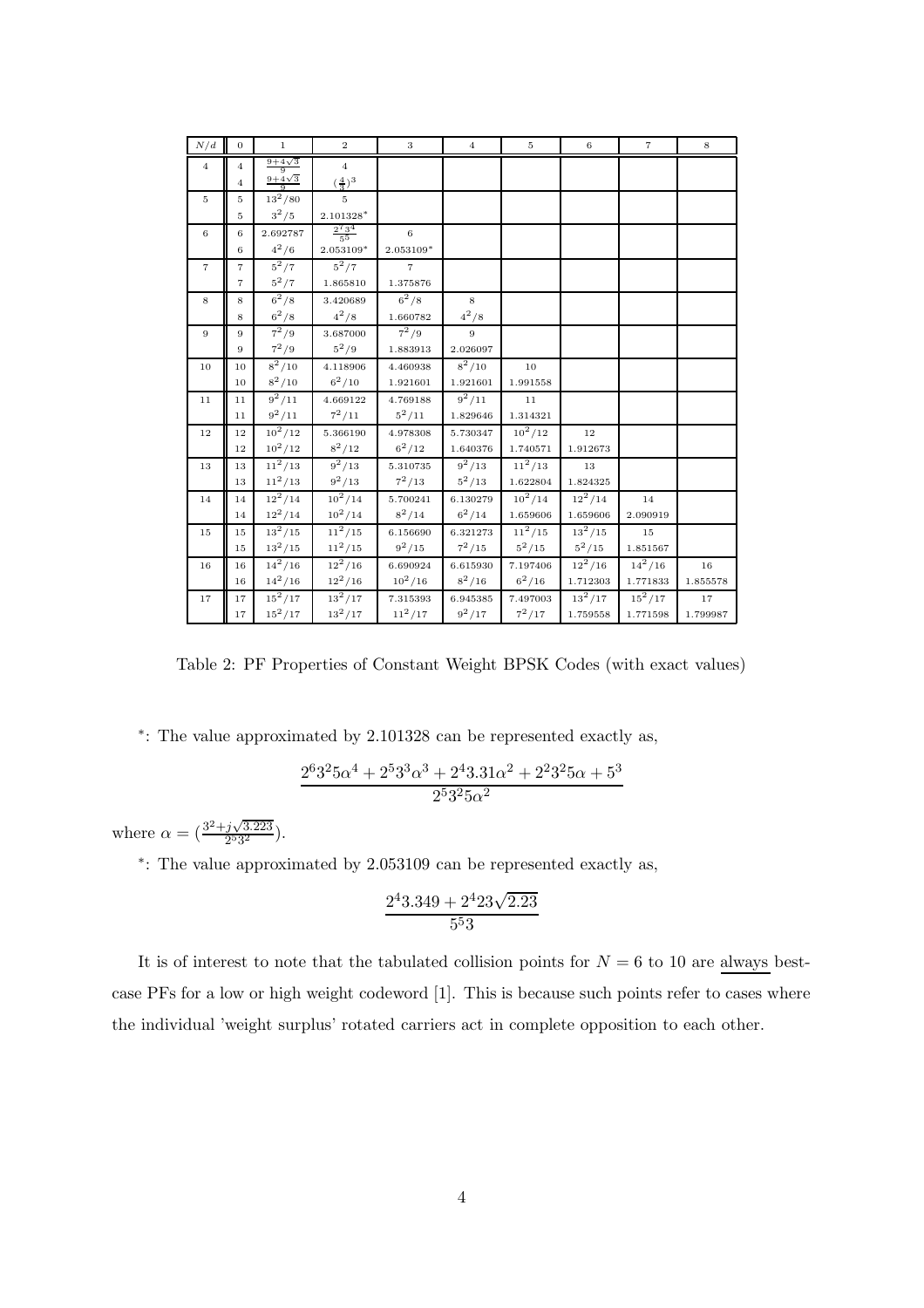| N/d             | $\overline{0}$ | $\mathbf{1}$            | $\overline{2}$             | 3              | $\overline{4}$ | $\rm 5$   | $\,6\,$              | $\scriptstyle{7}$ | 8        |
|-----------------|----------------|-------------------------|----------------------------|----------------|----------------|-----------|----------------------|-------------------|----------|
| $\overline{4}$  | $\overline{4}$ | $\frac{9+4\sqrt{3}}{9}$ | $\overline{4}$             |                |                |           |                      |                   |          |
|                 | $\overline{4}$ | $\frac{9+4\sqrt{3}}{9}$ | $(\frac{4}{3})^3$          |                |                |           |                      |                   |          |
| $5\overline{5}$ | $\overline{5}$ | $13^2/80$               | 5                          |                |                |           |                      |                   |          |
|                 | $\overline{5}$ | $3^2/5$                 | $2.101328*$                |                |                |           |                      |                   |          |
| 6               | 6              | 2.692787                | $\frac{2^{7}3^{4}}{5^{5}}$ | 6              |                |           |                      |                   |          |
|                 | 6              | $4^{2}/6$               | $2.053109*$                | 2.053109*      |                |           |                      |                   |          |
| $\overline{7}$  | $\overline{7}$ | $5^2/7$                 | $5^2/7$                    | $\overline{7}$ |                |           |                      |                   |          |
|                 | $\overline{7}$ | $5^2/7$                 | 1.865810                   | 1.375876       |                |           |                      |                   |          |
| 8               | 8              | $6^{2}/8$               | 3.420689                   | $6^2/8$        | 8              |           |                      |                   |          |
|                 | 8              | $6^2/8$                 | $4^{2}/8$                  | 1.660782       | $4^2/8$        |           |                      |                   |          |
| 9               | 9              | $7^2/9$                 | 3.687000                   | $7^2/9$        | 9              |           |                      |                   |          |
|                 | 9              | $7^2/9$                 | $5^2/9$                    | 1.883913       | 2.026097       |           |                      |                   |          |
| 10              | 10             | $8^2/10$                | 4.118906                   | 4.460938       | $8^2/10$       | 10        |                      |                   |          |
|                 | 10             | $8^2/10$                | $6^2/10$                   | 1.921601       | 1.921601       | 1.991558  |                      |                   |          |
| 11              | 11             | $9^2/11$                | 4.669122                   | 4.769188       | $9^2/11$       | 11        |                      |                   |          |
|                 | 11             | $9^2/11$                | $7^2/11$                   | $5^2/11$       | 1.829646       | 1.314321  |                      |                   |          |
| 12              | 12             | $10^2/12$               | 5.366190                   | 4.978308       | 5.730347       | $10^2/12$ | 12                   |                   |          |
|                 | 12             | $10^2/12$               | $8^2/12$                   | $6^2/12$       | 1.640376       | 1.740571  | 1.912673             |                   |          |
| 13              | 13             | $11^2/13$               | $9^2/13$                   | 5.310735       | $9^2/13$       | $11^2/13$ | 13                   |                   |          |
|                 | 13             | $11^2/13$               | $9^2/13$                   | $7^2/13$       | $5^2/13$       | 1.622804  | 1.824325             |                   |          |
| 14              | 14             | $12^2/14$               | $10^2/14$                  | 5.700241       | 6.130279       | $10^2/14$ | $12^2/14$            | 14                |          |
|                 | 14             | $12^2/14$               | $10^2/14$                  | $8^2/14$       | $6^2/14$       | 1.659606  | 1.659606             | 2.090919          |          |
| 15              | 15             | $13^2/15$               | $11^2/15$                  | 6.156690       | 6.321273       | $11^2/15$ | $13^2/15$            | 15                |          |
|                 | 15             | $13^2/15$               | $11^2/15$                  | $9^2/15$       | $7^2/15$       | $5^2/15$  | $5^2/15$             | 1.851567          |          |
| 16              | 16             | $14^2/16$               | $12^2/16$                  | 6.690924       | 6.615930       | 7.197406  | $\overline{12^2}/16$ | $14^2/16$         | 16       |
|                 | 16             | $14^2/16$               | $12^2/16$                  | $10^2/16$      | $8^2/16$       | $6^2/16$  | 1.712303             | 1.771833          | 1.855578 |
| 17              | 17             | $15^2/17$               | $13^2/17$                  | 7.315393       | 6.945385       | 7.497003  | $13^2/17$            | $15^2/17$         | 17       |
|                 | $17\,$         | $15^2/17$               | $13^{2}/17$                | $11^{2}/17$    | $9^2/17$       | $7^2/17$  | 1.759558             | 1.771598          | 1.799987 |

Table 2: PF Properties of Constant Weight BPSK Codes (with exact values)

∗ : The value approximated by 2.101328 can be represented exactly as,

$$
\frac{2^{6}3^{2}5\alpha^{4}+2^{5}3^{3}\alpha^{3}+2^{4}3.31\alpha^{2}+2^{2}3^{2}5\alpha+5^{3}}{2^{5}3^{2}5\alpha^{2}}
$$

where  $\alpha = (\frac{3^2 + j\sqrt{3.223}}{253^2})$  $\frac{j \vee 3.223}{2^5 3^2}$ ).

∗ : The value approximated by 2.053109 can be represented exactly as,

$$
\frac{2^43.349 + 2^423\sqrt{2.23}}{5^53}
$$

It is of interest to note that the tabulated collision points for  $N = 6$  to 10 are always bestcase PFs for a low or high weight codeword [1]. This is because such points refer to cases where the individual 'weight surplus' rotated carriers act in complete opposition to each other.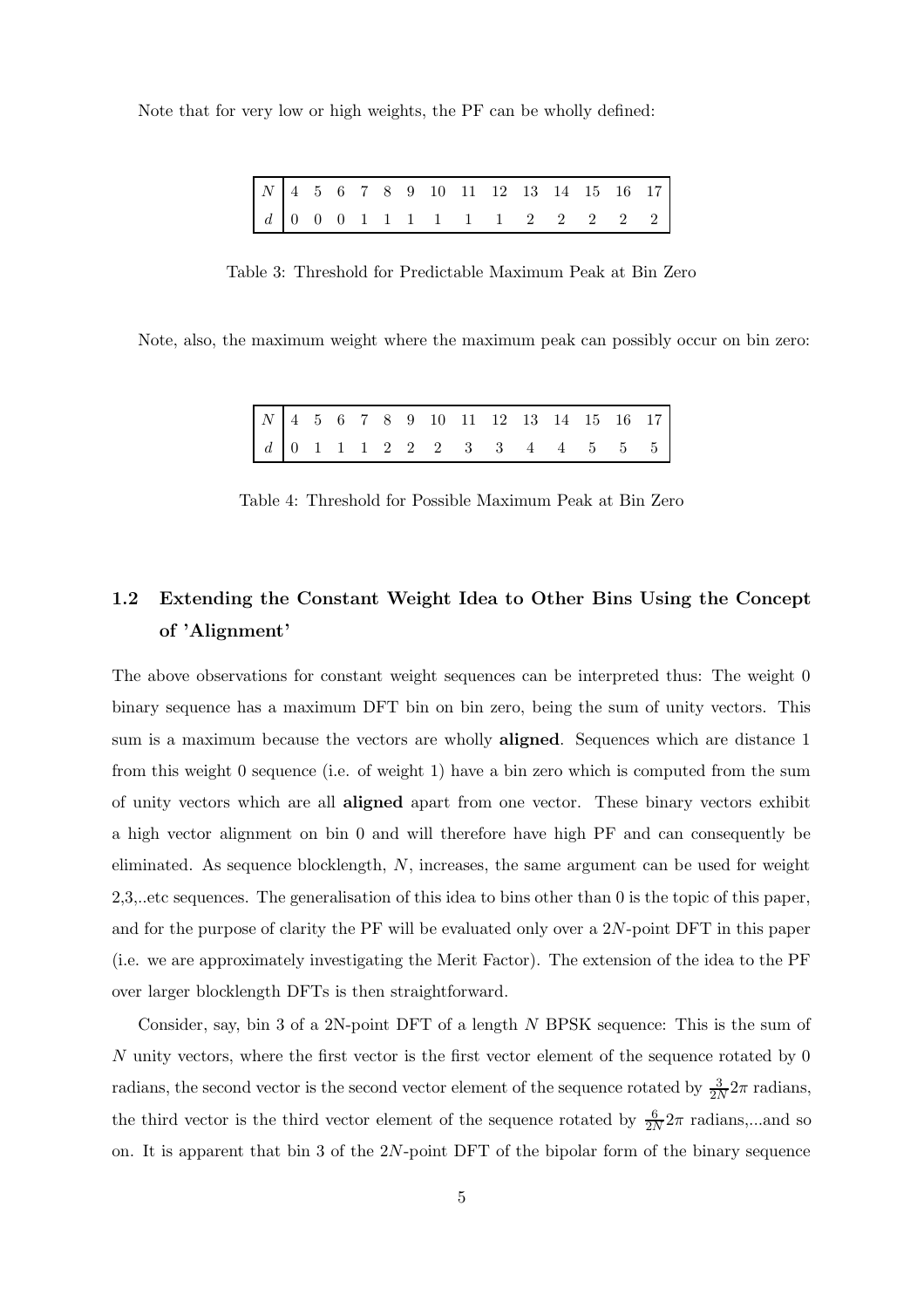Note that for very low or high weights, the PF can be wholly defined:

|  |  |  |  |  | $N$ 4 5 6 7 8 9 10 11 12 13 14 15 16 17                                                 |  |  |
|--|--|--|--|--|-----------------------------------------------------------------------------------------|--|--|
|  |  |  |  |  | $d \begin{bmatrix} 0 & 0 & 0 & 1 & 1 & 1 & 1 & 1 & 1 & 2 & 2 & 2 & 2 & 2 \end{bmatrix}$ |  |  |

Table 3: Threshold for Predictable Maximum Peak at Bin Zero

Note, also, the maximum weight where the maximum peak can possibly occur on bin zero:

|  |  |  |  | $N$ 4 5 6 7 8 9 10 11 12 13 14 15 16 17 |  |  |  |
|--|--|--|--|-----------------------------------------|--|--|--|
|  |  |  |  | $d$ 0 1 1 1 2 2 2 3 3 4 4 5 5 5         |  |  |  |

Table 4: Threshold for Possible Maximum Peak at Bin Zero

# 1.2 Extending the Constant Weight Idea to Other Bins Using the Concept of 'Alignment'

The above observations for constant weight sequences can be interpreted thus: The weight 0 binary sequence has a maximum DFT bin on bin zero, being the sum of unity vectors. This sum is a maximum because the vectors are wholly aligned. Sequences which are distance 1 from this weight 0 sequence (i.e. of weight 1) have a bin zero which is computed from the sum of unity vectors which are all aligned apart from one vector. These binary vectors exhibit a high vector alignment on bin 0 and will therefore have high PF and can consequently be eliminated. As sequence blocklength, N, increases, the same argument can be used for weight 2,3,..etc sequences. The generalisation of this idea to bins other than 0 is the topic of this paper, and for the purpose of clarity the PF will be evaluated only over a 2N-point DFT in this paper (i.e. we are approximately investigating the Merit Factor). The extension of the idea to the PF over larger blocklength DFTs is then straightforward.

Consider, say, bin 3 of a 2N-point DFT of a length N BPSK sequence: This is the sum of N unity vectors, where the first vector is the first vector element of the sequence rotated by 0 radians, the second vector is the second vector element of the sequence rotated by  $\frac{3}{2N}2\pi$  radians, the third vector is the third vector element of the sequence rotated by  $\frac{6}{2N}2\pi$  radians,...and so on. It is apparent that bin 3 of the  $2N$ -point DFT of the bipolar form of the binary sequence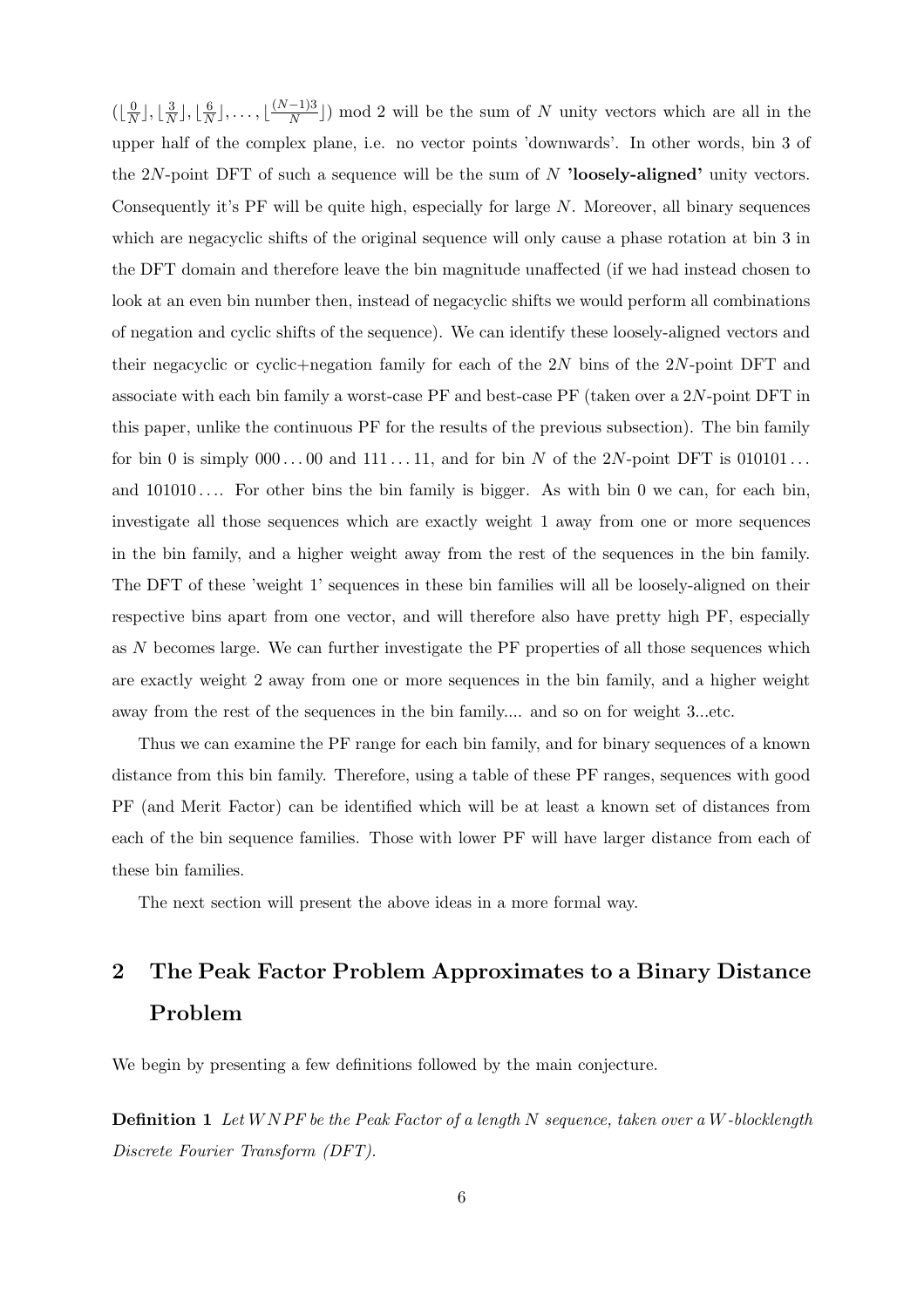$(\lfloor \frac{0}{N} \rfloor, \lfloor \frac{3}{N} \rfloor, \lfloor \frac{6}{N} \rfloor, \ldots, \lfloor \frac{(N-1)3}{N} \rfloor)$  mod 2 will be the sum of N unity vectors which are all in the upper half of the complex plane, i.e. no vector points 'downwards'. In other words, bin 3 of the  $2N$ -point DFT of such a sequence will be the sum of N 'loosely-aligned' unity vectors. Consequently it's PF will be quite high, especially for large N. Moreover, all binary sequences which are negacyclic shifts of the original sequence will only cause a phase rotation at bin 3 in the DFT domain and therefore leave the bin magnitude unaffected (if we had instead chosen to look at an even bin number then, instead of negacyclic shifts we would perform all combinations of negation and cyclic shifts of the sequence). We can identify these loosely-aligned vectors and their negacyclic or cyclic+negation family for each of the 2N bins of the 2N-point DFT and associate with each bin family a worst-case PF and best-case PF (taken over a 2N-point DFT in this paper, unlike the continuous PF for the results of the previous subsection). The bin family for bin 0 is simply  $000...00$  and  $111...11$ , and for bin N of the 2N-point DFT is  $010101...$ and  $101010...$  For other bins the bin family is bigger. As with bin 0 we can, for each bin, investigate all those sequences which are exactly weight 1 away from one or more sequences in the bin family, and a higher weight away from the rest of the sequences in the bin family. The DFT of these 'weight 1' sequences in these bin families will all be loosely-aligned on their respective bins apart from one vector, and will therefore also have pretty high PF, especially as N becomes large. We can further investigate the PF properties of all those sequences which are exactly weight 2 away from one or more sequences in the bin family, and a higher weight away from the rest of the sequences in the bin family.... and so on for weight 3...etc.

Thus we can examine the PF range for each bin family, and for binary sequences of a known distance from this bin family. Therefore, using a table of these PF ranges, sequences with good PF (and Merit Factor) can be identified which will be at least a known set of distances from each of the bin sequence families. Those with lower PF will have larger distance from each of these bin families.

The next section will present the above ideas in a more formal way.

# 2 The Peak Factor Problem Approximates to a Binary Distance Problem

We begin by presenting a few definitions followed by the main conjecture.

**Definition 1** Let WNPF be the Peak Factor of a length N sequence, taken over a W-blocklength Discrete Fourier Transform (DFT).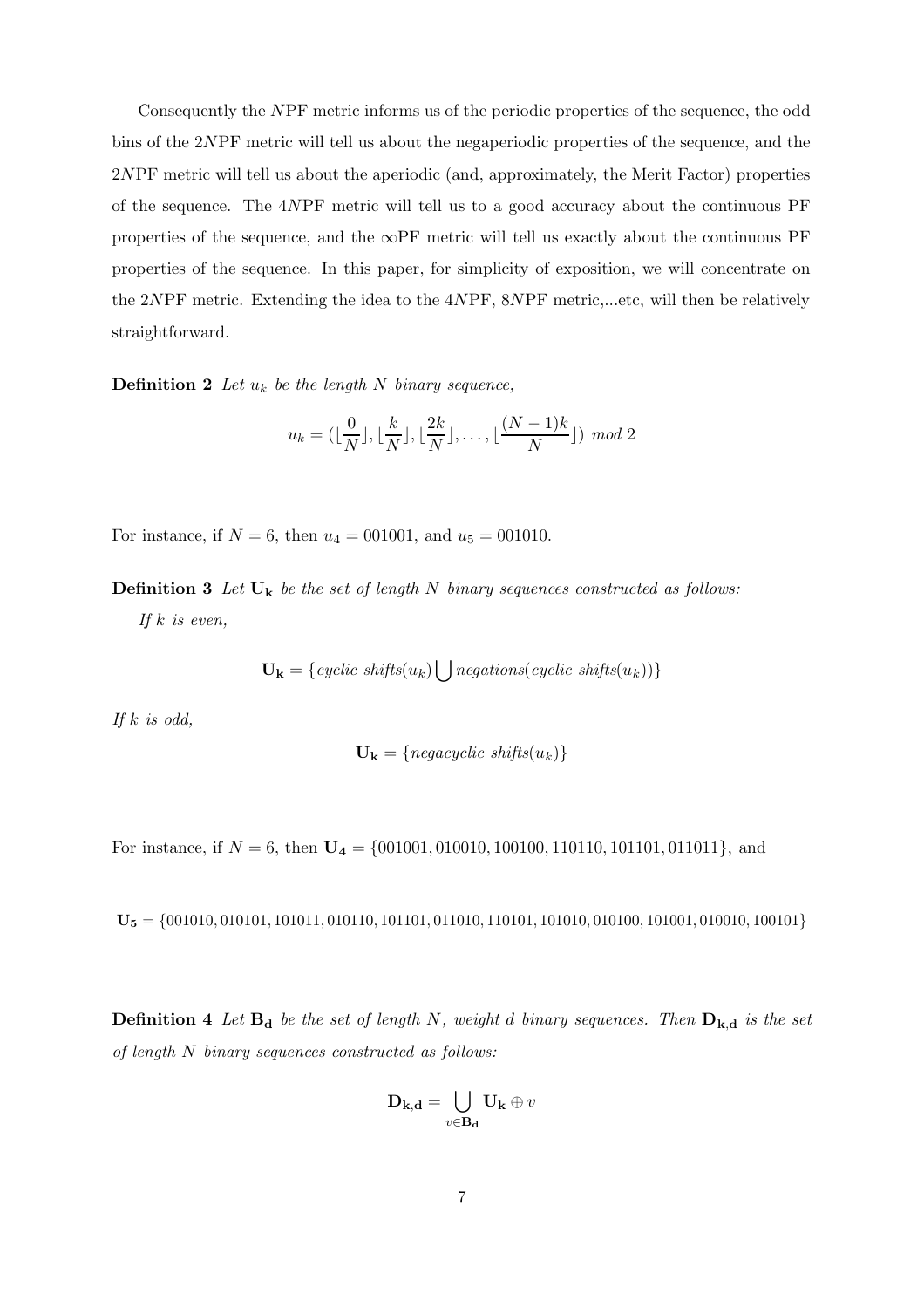Consequently the NPF metric informs us of the periodic properties of the sequence, the odd bins of the 2NPF metric will tell us about the negaperiodic properties of the sequence, and the 2NPF metric will tell us about the aperiodic (and, approximately, the Merit Factor) properties of the sequence. The 4NPF metric will tell us to a good accuracy about the continuous PF properties of the sequence, and the  $\infty$ PF metric will tell us exactly about the continuous PF properties of the sequence. In this paper, for simplicity of exposition, we will concentrate on the 2NPF metric. Extending the idea to the 4NPF, 8NPF metric,...etc, will then be relatively straightforward.

**Definition 2** Let  $u_k$  be the length N binary sequence,

$$
u_k = (\lfloor \frac{0}{N} \rfloor, \lfloor \frac{k}{N} \rfloor, \lfloor \frac{2k}{N} \rfloor, \dots, \lfloor \frac{(N-1)k}{N} \rfloor) \mod 2
$$

For instance, if  $N = 6$ , then  $u_4 = 001001$ , and  $u_5 = 001010$ .

**Definition 3** Let  $U_k$  be the set of length N binary sequences constructed as follows: If  $k$  is even,

$$
\mathbf{U}_{\mathbf{k}} = \{ cyclic \; shifts(u_k) \bigcup negations(cyclic \; shifts(u_k))\}
$$

If  $k$  is odd,

$$
\mathbf{U_k} = \{ \text{negative shifts}(u_k) \}
$$

For instance, if  $N = 6$ , then  $U_4 = \{001001, 010010, 100100, 110110, 101101, 011011\}$ , and

 $U_5 = \{001010, 010101, 101011, 010110, 101101, 011010, 110101, 101010, 010100, 101001, 010010, 100101\}$ 

**Definition 4** Let  $B_d$  be the set of length N, weight d binary sequences. Then  $D_{k,d}$  is the set of length N binary sequences constructed as follows:

$$
\mathbf{D}_{\mathbf{k},\mathbf{d}} = \bigcup_{v \in \mathbf{B}_{\mathbf{d}}} \mathbf{U}_{\mathbf{k}} \oplus v
$$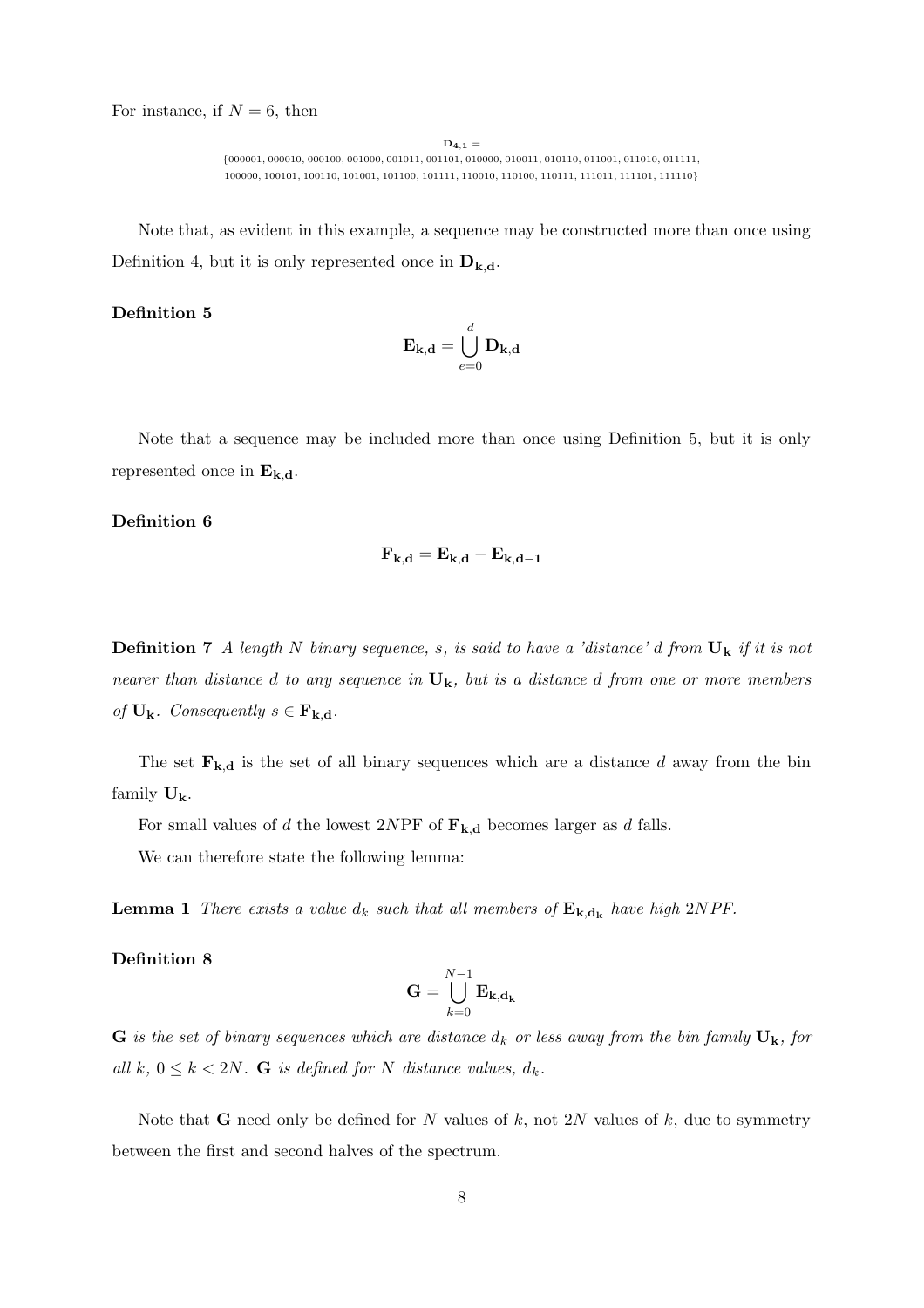For instance, if  $N = 6$ , then

 $D_{4,1} =$  $\{000001, 000010, 000100, 001000, 001011, 001101, 010000, 010011, 010110, 011001, 011010, 011111, 01010, 01100, 011111, 01010, 01100, 01101, 01100, 01100, 01100, 01100, 01100, 01100, 01100, 01100, 01100, 01100, 01100, 01$ 100000, 100101, 100110, 101001, 101100, 101111, 110010, 110100, 110111, 111011, 111101, 111110}

Note that, as evident in this example, a sequence may be constructed more than once using Definition 4, but it is only represented once in  $\mathbf{D}_{\mathbf{k},\mathbf{d}}$ .

#### Definition 5

$$
\mathbf{E}_{\mathbf{k},\mathbf{d}} = \bigcup_{e=0}^{d} \mathbf{D}_{\mathbf{k},\mathbf{d}}
$$

Note that a sequence may be included more than once using Definition 5, but it is only represented once in  $E_{k,d}$ .

#### Definition 6

$$
\mathbf{F}_{\mathbf{k},\mathbf{d}}=\mathbf{E}_{\mathbf{k},\mathbf{d}}-\mathbf{E}_{\mathbf{k},\mathbf{d}-\mathbf{1}}
$$

**Definition 7** A length N binary sequence, s, is said to have a 'distance' d from  $\mathbf{U}_k$  if it is not nearer than distance d to any sequence in  $U_k$ , but is a distance d from one or more members of  $U_k$ . Consequently  $s \in F_{k,d}$ .

The set  $\mathbf{F}_{k,d}$  is the set of all binary sequences which are a distance d away from the bin family  $\mathbf{U}_k$ .

For small values of d the lowest 2NPF of  $\mathbf{F}_{\mathbf{k},\mathbf{d}}$  becomes larger as d falls.

We can therefore state the following lemma:

**Lemma 1** There exists a value  $d_k$  such that all members of  $\mathbf{E}_{\mathbf{k},\mathbf{d}_{\mathbf{k}}}$  have high 2NPF.

#### Definition 8

$$
\mathbf{G} = \bigcup_{k=0}^{N-1} \mathbf{E}_{\mathbf{k},\mathbf{d}_{\mathbf{k}}}
$$

G is the set of binary sequences which are distance  $d_k$  or less away from the bin family  $U_k$ , for all k,  $0 \leq k < 2N$ . G is defined for N distance values,  $d_k$ .

Note that **G** need only be defined for N values of k, not 2N values of k, due to symmetry between the first and second halves of the spectrum.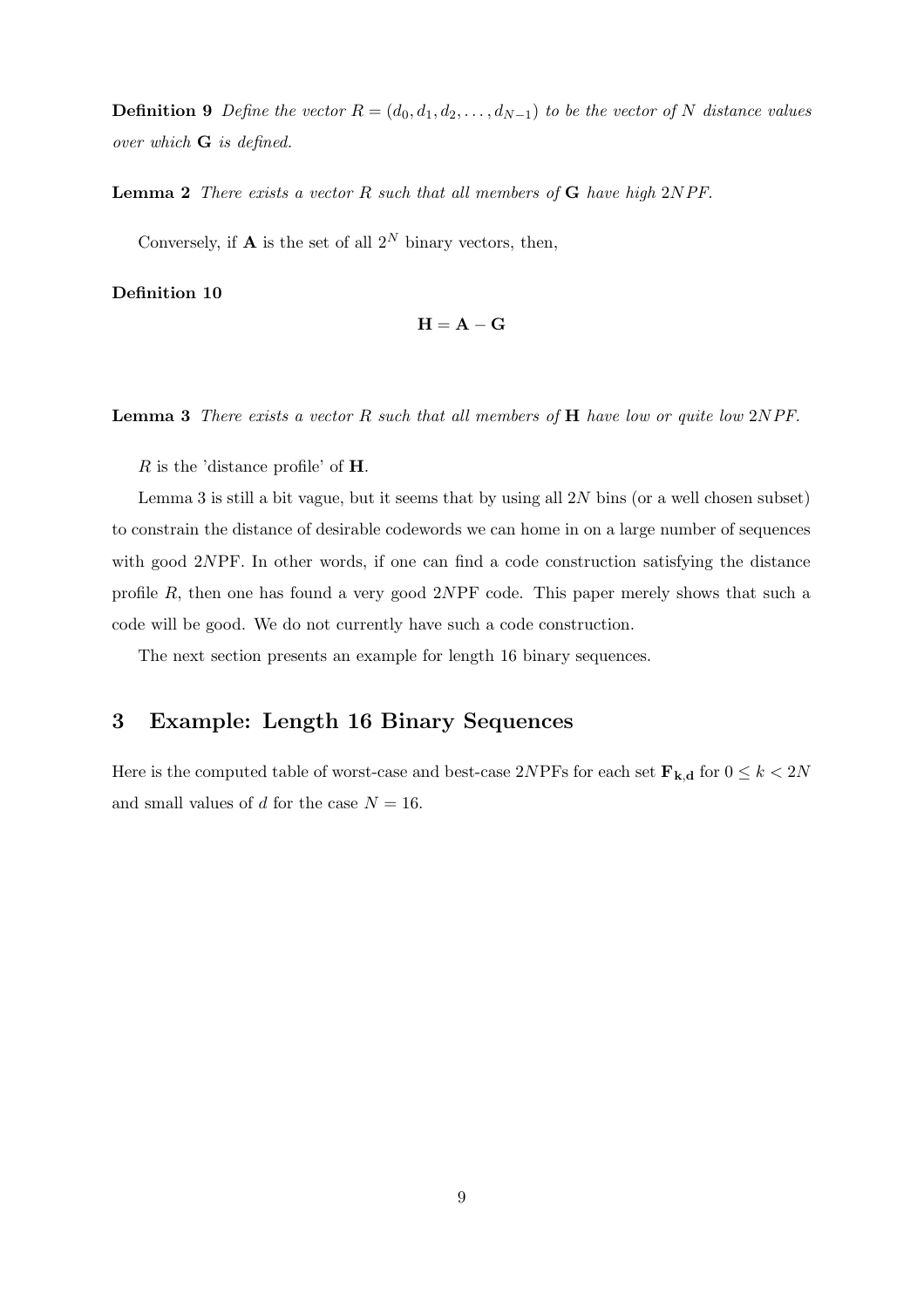**Definition 9** Define the vector  $R = (d_0, d_1, d_2, \ldots, d_{N-1})$  to be the vector of N distance values over which G is defined.

**Lemma 2** There exists a vector  $R$  such that all members of  $G$  have high 2NPF.

Conversely, if **A** is the set of all  $2^N$  binary vectors, then,

Definition 10

$$
\mathbf{H} = \mathbf{A} - \mathbf{G}
$$

**Lemma 3** There exists a vector R such that all members of  $H$  have low or quite low  $2NPF$ .

 $R$  is the 'distance profile' of **H**.

Lemma 3 is still a bit vague, but it seems that by using all  $2N$  bins (or a well chosen subset) to constrain the distance of desirable codewords we can home in on a large number of sequences with good 2NPF. In other words, if one can find a code construction satisfying the distance profile R, then one has found a very good 2NPF code. This paper merely shows that such a code will be good. We do not currently have such a code construction.

The next section presents an example for length 16 binary sequences.

## 3 Example: Length 16 Binary Sequences

Here is the computed table of worst-case and best-case 2NPFs for each set  $\mathbf{F}_{\mathbf{k},\mathbf{d}}$  for  $0 \leq k < 2N$ and small values of d for the case  $N = 16$ .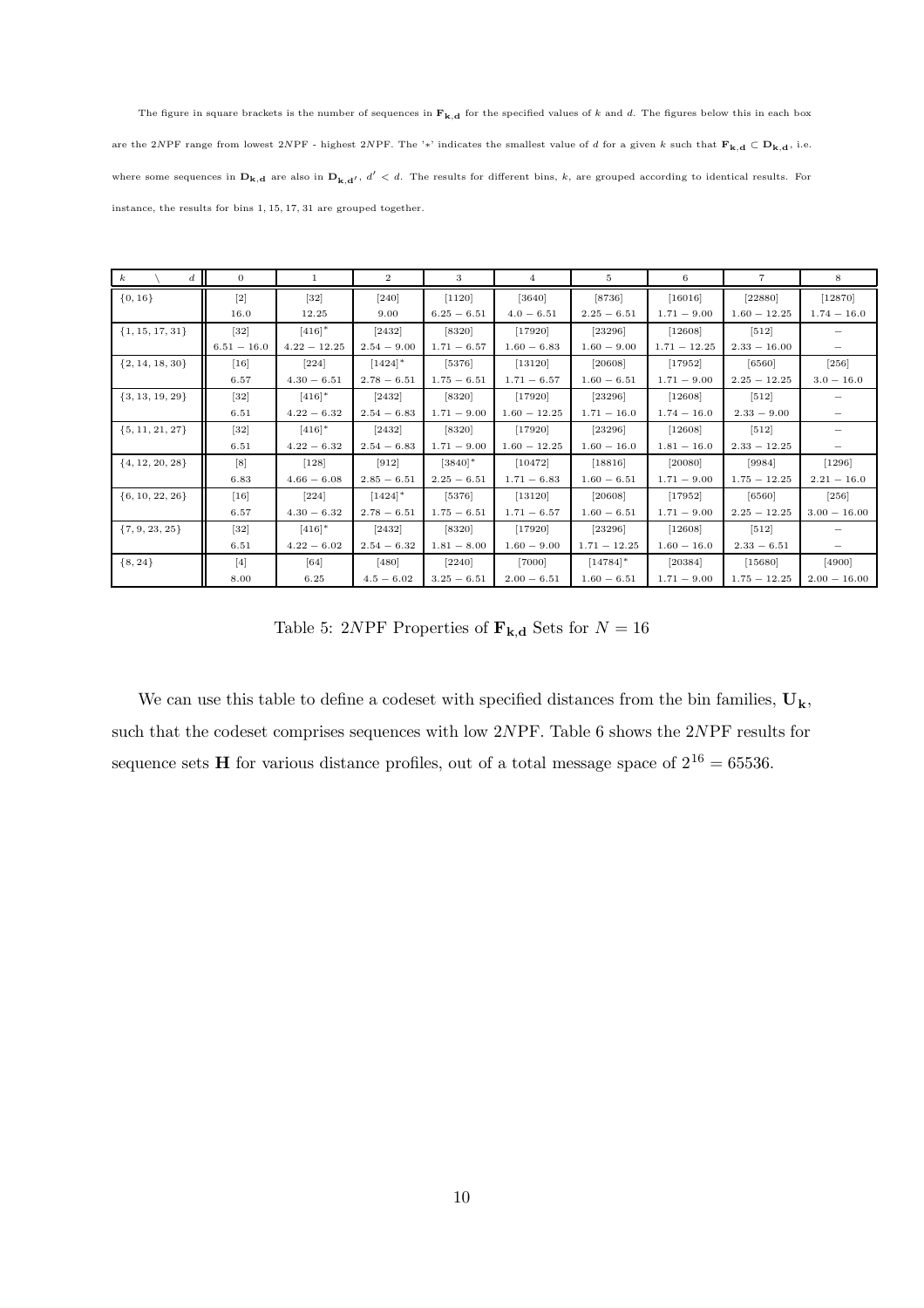The figure in square brackets is the number of sequences in  $F_{k,d}$  for the specified values of k and d. The figures below this in each box are the 2NPF range from lowest 2NPF - highest 2NPF. The '\*' indicates the smallest value of d for a given k such that  $\mathbf{F}_{k,d} \subset \mathbf{D}_{k,d}$ , i.e. where some sequences in  $D_{k,d}$  are also in  $D_{k,d'}$ ,  $d' < d$ . The results for different bins,  $k$ , are grouped according to identical results. For instance, the results for bins 1, 15, 17, 31 are grouped together.

| $\boldsymbol{k}$<br>$d_{\mathcal{A}}$ | $\theta$          | 1                    | $\overline{2}$        | 3                     | $\overline{4}$ | 5              | 6              | $\overline{7}$ | 8              |
|---------------------------------------|-------------------|----------------------|-----------------------|-----------------------|----------------|----------------|----------------|----------------|----------------|
| $\{0, 16\}$                           | $[2]$             | $\left[32\right]$    | $[240]$               | $[1120]$              | [3640]         | [8736]         | [16016]        | $[22880]$      | $[12870]$      |
|                                       | 16.0              | 12.25                | 9.00                  | $6.25 - 6.51$         | $4.0 - 6.51$   | $2.25 - 6.51$  | $1.71 - 9.00$  | $1.60 - 12.25$ | $1.74 - 16.0$  |
| $\{1, 15, 17, 31\}$                   | $[32]$            | $[416]$ *            | $[2432]$              | $[8320]$              | $[17920]$      | [23296]        | [12608]        | $[512]$        |                |
|                                       | $6.51 - 16.0$     | $4.22 - 12.25$       | $2.54 - 9.00$         | $1.71 - 6.57$         | $1.60 - 6.83$  | $1.60 - 9.00$  | $1.71 - 12.25$ | $2.33 - 16.00$ |                |
| $\{2, 14, 18, 30\}$                   | $[16]$            | $[224]$              | $[1424]$ <sup>*</sup> | $[5376]$              | [13120]        | [20608]        | $[17952]$      | $[6560]$       | $[256]$        |
|                                       | 6.57              | $4.30 - 6.51$        | $2.78 - 6.51$         | $1.75 - 6.51$         | $1.71 - 6.57$  | $1.60 - 6.51$  | $1.71 - 9.00$  | $2.25 - 12.25$ | $3.0 - 16.0$   |
| $\{3, 13, 19, 29\}$                   | $[32]$            | $[416]$ <sup>*</sup> | $[2432]$              | [8320]                | [17920]        | [23296]        | [12608]        | $[512]$        |                |
|                                       | 6.51              | $4.22 - 6.32$        | $2.54 - 6.83$         | $1.71 - 9.00$         | $1.60 - 12.25$ | $1.71 - 16.0$  | $1.74 - 16.0$  | $2.33 - 9.00$  |                |
| $\{5, 11, 21, 27\}$                   | $[32]$            | $[416]$ <sup>*</sup> | [2432]                | $[8320]$              | [17920]        | [23296]        | [12608]        | $[512]$        |                |
|                                       | 6.51              | $4.22 - 6.32$        | $2.54 - 6.83$         | $1.71 - 9.00$         | $1.60 - 12.25$ | $1.60 - 16.0$  | $1.81 - 16.0$  | $2.33 - 12.25$ |                |
| $\{4, 12, 20, 28\}$                   | $\lceil 8 \rceil$ | $[128]$              | $[912]$               | $[3840]$ <sup>*</sup> | [10472]        | [18816]        | [20080]        | [9984]         | $[1296]$       |
|                                       | 6.83              | $4.66 - 6.08$        | $2.85 - 6.51$         | $2.25 - 6.51$         | $1.71 - 6.83$  | $1.60 - 6.51$  | $1.71 - 9.00$  | $1.75 - 12.25$ | $2.21 - 16.0$  |
| $\{6, 10, 22, 26\}$                   | $[16]$            | $[224]$              | $[1424]$ <sup>*</sup> | $[5376]$              | [13120]        | [20608]        | $[17952]$      | [6560]         | $[256]$        |
|                                       | 6.57              | $4.30 - 6.32$        | $2.78 - 6.51$         | $1.75 - 6.51$         | $1.71 - 6.57$  | $1.60 - 6.51$  | $1.71 - 9.00$  | $2.25 - 12.25$ | $3.00 - 16.00$ |
| $\{7, 9, 23, 25\}$                    | $[32]$            | $[416]$ *            | $[2432]$              | $[8320]$              | $[17920]$      | [23296]        | [12608]        | $[512]$        |                |
|                                       | 6.51              | $4.22 - 6.02$        | $2.54 - 6.32$         | $1.81 - 8.00$         | $1.60 - 9.00$  | $1.71 - 12.25$ | $1.60 - 16.0$  | $2.33 - 6.51$  |                |
| $\{8, 24\}$                           | $\lceil 4 \rceil$ | [64]                 | $[480]$               | $[2240]$              | $[7000]$       | $[14784]$ *    | [20384]        | [15680]        | [4900]         |
|                                       | 8.00              | 6.25                 | $4.5 - 6.02$          | $3.25 - 6.51$         | $2.00 - 6.51$  | $1.60 - 6.51$  | $1.71 - 9.00$  | $1.75 - 12.25$ | $2.00 - 16.00$ |

Table 5: 2NPF Properties of  $\mathbf{F}_{\mathbf{k},\mathbf{d}}$  Sets for  $N=16$ 

We can use this table to define a codeset with specified distances from the bin families,  $\mathbf{U}_k$ , such that the codeset comprises sequences with low 2NPF. Table 6 shows the 2NPF results for sequence sets **H** for various distance profiles, out of a total message space of  $2^{16} = 65536$ .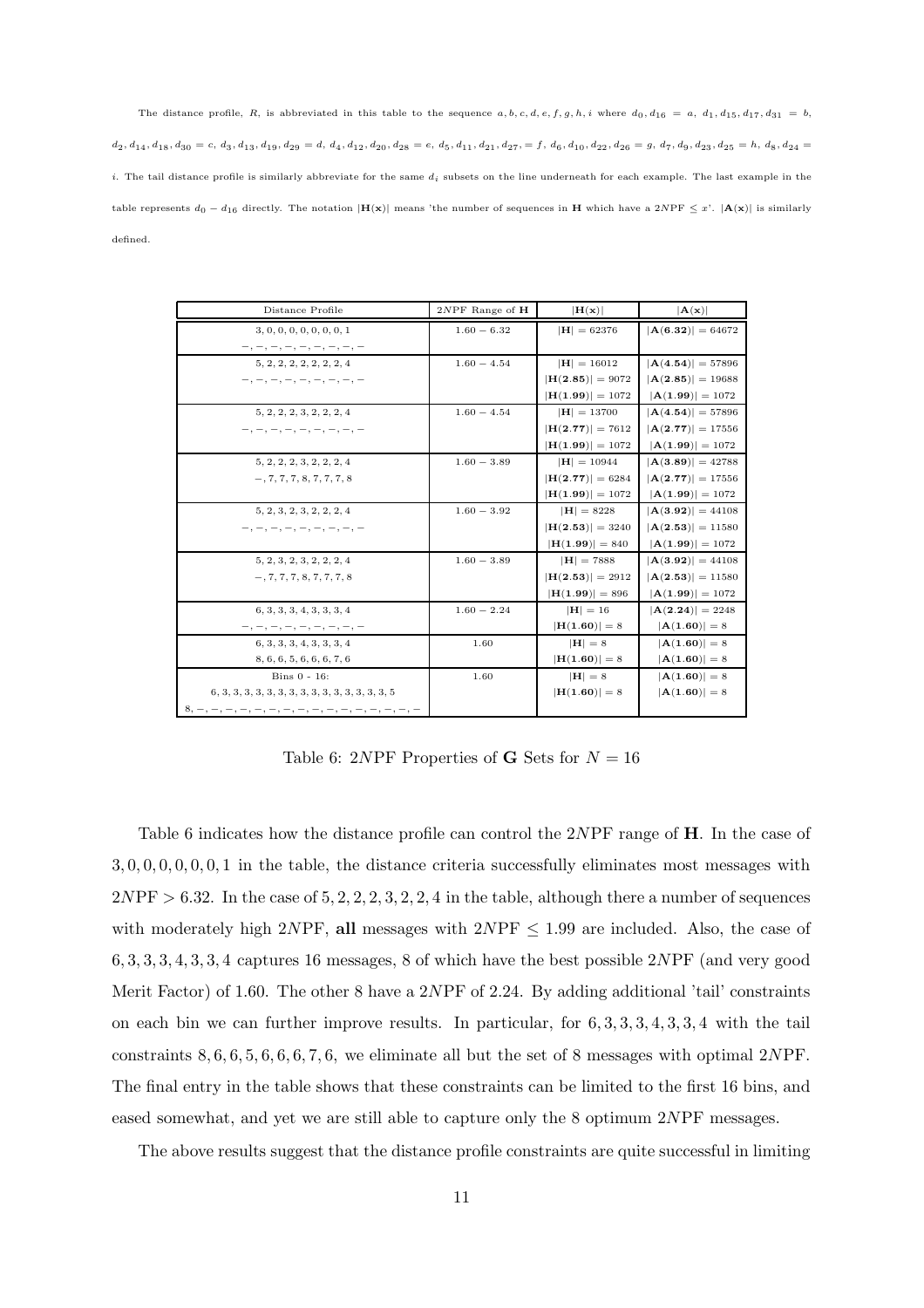The distance profile, R, is abbreviated in this table to the sequence  $a, b, c, d, e, f, g, h, i$  where  $d_0, d_{16} = a, d_1, d_{15}, d_{17}, d_{31} = b$ ,  $d_2, d_{14}, d_{18}, d_{30} = c, \, d_3, d_{13}, d_{19}, d_{29} = d, \, d_4, d_{12}, d_{20}, d_{28} = e, \, d_5, d_{11}, d_{21}, d_{27},\\ = f, \, d_6, d_{10}, d_{22}, d_{26} = g, \, d_7, d_9, d_{23}, d_{25} = h, \, d_8, d_{24} = g, \, d_9, d_{10}, d_{11}, d_{12}, d_{12}, d_{13}, d_{14}, d_{15}, d_{16}, d_{17}, \\ = g, \, d_9, \, d$ i. The tail distance profile is similarly abbreviate for the same  $d_i$  subsets on the line underneath for each example. The last example in the table represents  $d_0 - d_1$  directly. The notation  $|\mathbf{H}(\mathbf{x})|$  means 'the number of sequences in H which have a 2NPF  $\leq x$ '.  $|\mathbf{A}(\mathbf{x})|$  is similarly defined.

| Distance Profile                                           | $2NPF$ Range of $H$ | H(x)                        | $ \mathbf{A}(\mathbf{x}) $          |
|------------------------------------------------------------|---------------------|-----------------------------|-------------------------------------|
| 3, 0, 0, 0, 0, 0, 0, 0, 1                                  | $1.60 - 6.32$       | $ H  = 62376$               | $ A(6.32)  = 64672$                 |
| $-$ , $-$ , $-$ , $-$ , $-$ , $-$ , $-$ , $-$ , $-$        |                     |                             |                                     |
| 5, 2, 2, 2, 2, 2, 2, 2, 4                                  | $1.60 - 4.54$       | $ H  = 16012$               | $ A(4.54)  = 57896$                 |
| $-,-,-,-,-,-,-,-,-,-,-$                                    |                     | $ \mathbf{H}(2.85)  = 9072$ | $ \mathbf{A}(2.85)  = 19688$        |
|                                                            |                     | $ \mathbf{H}(1.99)  = 1072$ | $ {\bf A}(1.99)  = 1072$            |
| 5, 2, 2, 2, 3, 2, 2, 2, 4                                  | $1.60 - 4.54$       | $ H  = 13700$               | $ {\bf A}({\bf 4}.{\bf 54}) =57896$ |
| $-,-,-,-,-,-,-,-,-,-,-$                                    |                     | $ \mathbf{H}(2.77)  = 7612$ | $ \mathbf{A}(2.77)  = 17556$        |
|                                                            |                     | $ \mathbf{H}(1.99)  = 1072$ | $ {\bf A}(1.99)  = 1072$            |
| 5, 2, 2, 2, 3, 2, 2, 2, 4                                  | $1.60 - 3.89$       | $ H  = 10944$               | $ {\bf A}(3.89)  = 42788$           |
| $-, 7, 7, 7, 8, 7, 7, 7, 8$                                |                     | $ \mathbf{H}(2.77)  = 6284$ | $ \mathbf{A}(2.77)  = 17556$        |
|                                                            |                     | $ \mathbf{H}(1.99)  = 1072$ | $ {\bf A}(1.99)  = 1072$            |
| 5, 2, 3, 2, 3, 2, 2, 2, 4                                  | $1.60 - 3.92$       | $ H  = 8228$                | $ {\bf A}(3.92)  = 44108$           |
| $-,-,-,-,-,-,-,-,-,-,-,-$                                  |                     | $ \mathbf{H}(2.53)  = 3240$ | $ \mathbf{A}(2.53)  = 11580$        |
|                                                            |                     | $ \mathbf{H}(1.99)  = 840$  | $ {\bf A}(1.99)  = 1072$            |
| 5, 2, 3, 2, 3, 2, 2, 2, 4                                  | $1.60 - 3.89$       | $ H  = 7888$                | $ A(3.92)  = 44108$                 |
| $-, 7, 7, 7, 8, 7, 7, 7, 8$                                |                     | $ \mathbf{H}(2.53)  = 2912$ | $ {\bf A}({\bf 2}.53)  = 11580$     |
|                                                            |                     | $ H(1.99)  = 896$           | $ {\bf A}(1.99)  = 1072$            |
| 6, 3, 3, 3, 4, 3, 3, 3, 4                                  | $1.60 - 2.24$       | $ H  = 16$                  | $ {\bf A}({\bf 2}.{\bf 24}) =2248$  |
| $-$ , $-$ , $-$ , $-$ , $-$ , $-$ , $-$ , $-$ , $-$        |                     | $ H(1.60) =8$               | $ A(1.60) =8$                       |
| 6, 3, 3, 3, 4, 3, 3, 3, 4                                  | 1.60                | $ H  = 8$                   | $ A(1.60) =8$                       |
| 8, 6, 6, 5, 6, 6, 6, 7, 6                                  |                     | $ H(1.60) =8$               | $ A(1.60) =8$                       |
| Bins $0 - 16$ :                                            | 1.60                | $ H  = 8$                   | $ A(1.60) =8$                       |
|                                                            |                     | $ H(1.60) =8$               | $ A(1.60) =8$                       |
| $8, -, -, -, -, -, -, -, -, -, -, -, -, -, -, -, -, -, -,$ |                     |                             |                                     |

Table 6: 2NPF Properties of **G** Sets for  $N = 16$ 

Table 6 indicates how the distance profile can control the 2NPF range of **H**. In the case of 3, 0, 0, 0, 0, 0, 0, 1 in the table, the distance criteria successfully eliminates most messages with  $2NPF > 6.32$ . In the case of  $5, 2, 2, 2, 3, 2, 2, 4$  in the table, although there a number of sequences with moderately high 2NPF, all messages with  $2NPF \leq 1.99$  are included. Also, the case of 6, 3, 3, 3, 4, 3, 3, 4 captures 16 messages, 8 of which have the best possible 2NPF (and very good Merit Factor) of 1.60. The other 8 have a 2NPF of 2.24. By adding additional 'tail' constraints on each bin we can further improve results. In particular, for  $6, 3, 3, 3, 4, 3, 3, 4$  with the tail constraints  $8, 6, 6, 5, 6, 6, 6, 7, 6$ , we eliminate all but the set of 8 messages with optimal 2NPF. The final entry in the table shows that these constraints can be limited to the first 16 bins, and eased somewhat, and yet we are still able to capture only the 8 optimum 2NPF messages.

The above results suggest that the distance profile constraints are quite successful in limiting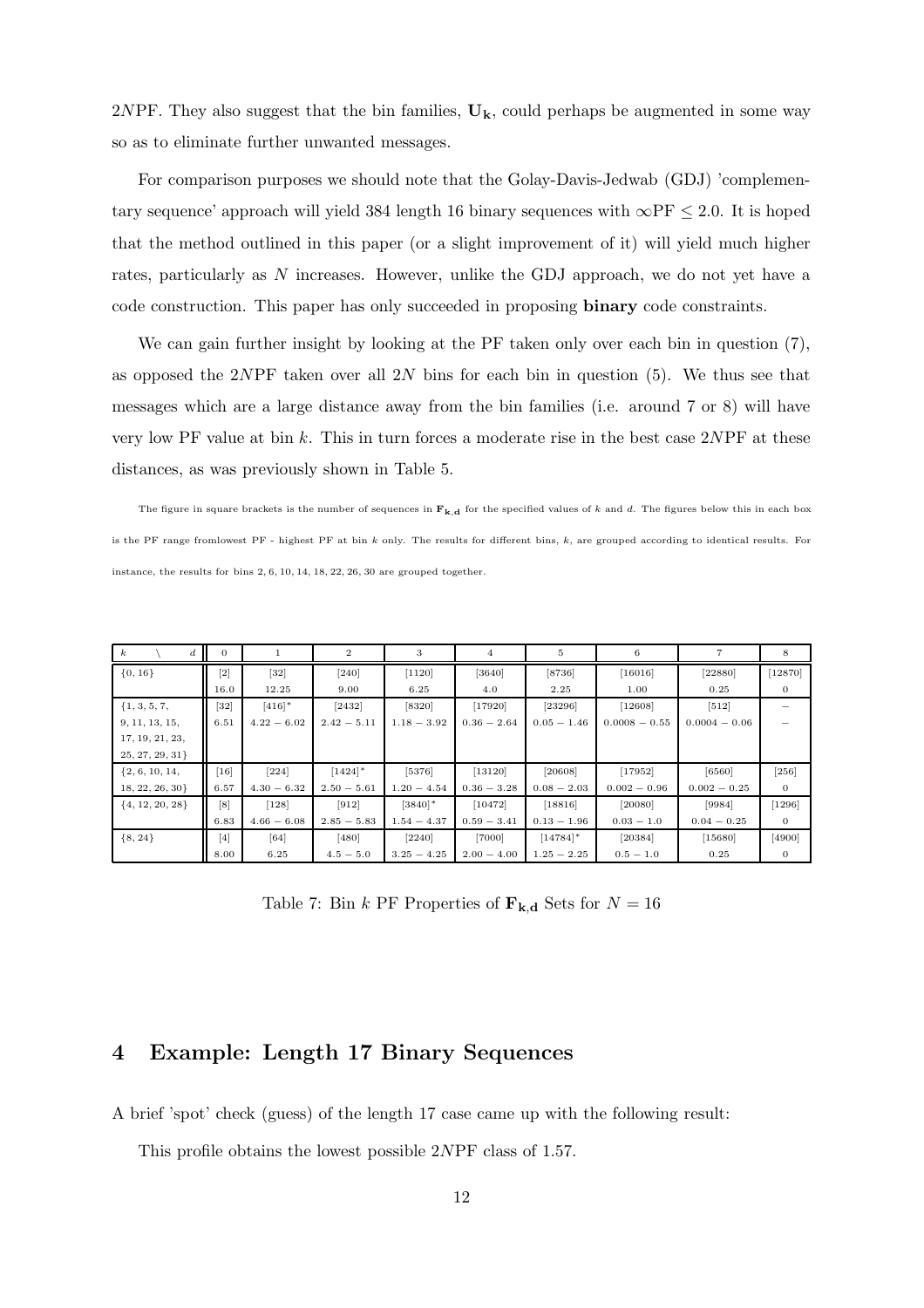2NPF. They also suggest that the bin families,  $U_k$ , could perhaps be augmented in some way so as to eliminate further unwanted messages.

For comparison purposes we should note that the Golay-Davis-Jedwab (GDJ) 'complementary sequence' approach will yield 384 length 16 binary sequences with  $\infty$ PF  $\leq 2.0$ . It is hoped that the method outlined in this paper (or a slight improvement of it) will yield much higher rates, particularly as N increases. However, unlike the GDJ approach, we do not yet have a code construction. This paper has only succeeded in proposing binary code constraints.

We can gain further insight by looking at the PF taken only over each bin in question  $(7)$ , as opposed the 2NPF taken over all 2N bins for each bin in question  $(5)$ . We thus see that messages which are a large distance away from the bin families (i.e. around 7 or 8) will have very low PF value at bin k. This in turn forces a moderate rise in the best case 2NPF at these distances, as was previously shown in Table 5.

The figure in square brackets is the number of sequences in  $F_{k,d}$  for the specified values of k and d. The figures below this in each box is the PF range fromlowest PF - highest PF at bin  $k$  only. The results for different bins,  $k$ , are grouped according to identical results. For instance, the results for bins 2, 6, 10, 14, 18, 22, 26, 30 are grouped together.

| $\boldsymbol{k}$<br>d | $\mathbf{0}$      |               | $\mathbf{2}$          | 3                     | 4             | 5                      | 6               |                 | 8            |
|-----------------------|-------------------|---------------|-----------------------|-----------------------|---------------|------------------------|-----------------|-----------------|--------------|
| $\{0, 16\}$           | $\lceil 2 \rceil$ | $[32]$        | $[240]$               | [1120]                | [3640]        | $[8736]$               | [16016]         | [22880]         | [12870]      |
|                       | 16.0              | 12.25         | 9.00                  | 6.25                  | 4.0           | 2.25                   | 1.00            | 0.25            | 0            |
| $\{1, 3, 5, 7,$       | $[32]$            | $[416]$ *     | $[2432]$              | [8320]                | [17920]       | 23296                  | [12608]         | $[512]$         |              |
| 9, 11, 13, 15,        | 6.51              | $4.22 - 6.02$ | $2.42 - 5.11$         | $1.18 - 3.92$         | $0.36 - 2.64$ | $0.05 - 1.46$          | $0.0008 - 0.55$ | $0.0004 - 0.06$ |              |
| 17, 19, 21, 23,       |                   |               |                       |                       |               |                        |                 |                 |              |
| 25, 27, 29, 31        |                   |               |                       |                       |               |                        |                 |                 |              |
| $\{2, 6, 10, 14,$     | $[16]$            | $[224]$       | $[1424]$ <sup>*</sup> | $[5376]$              | [13120]       | [20608]                | [17952]         | [6560]          | $[256]$      |
| 18, 22, 26, 30        | 6.57              | $4.30 - 6.32$ | $2.50 - 5.61$         | $1.20 - 4.54$         | $0.36 - 3.28$ | $0.08 - 2.03$          | $0.002 - 0.96$  | $0.002 - 0.25$  | $\mathbf{0}$ |
| $\{4, 12, 20, 28\}$   | [8]               | $[128]$       | $[912]$               | $[3840]$ <sup>*</sup> | [10472]       | [18816]                | [20080]         | [9984]          | $[1296]$     |
|                       | 6.83              | $4.66 - 6.08$ | $2.85 - 5.83$         | $1.54 - 4.37$         | $0.59 - 3.41$ | $0.13 - 1.96$          | $0.03 - 1.0$    | $0.04 - 0.25$   | $\mathbf{0}$ |
| $\{8, 24\}$           | [4]               | [64]          | [480]                 | $[2240]$              | $[7000]$      | $[14784]$ <sup>*</sup> | [20384]         | [15680]         | [4900]       |
|                       | 8.00              | 6.25          | $4.5 - 5.0$           | $3.25 - 4.25$         | $2.00 - 4.00$ | $1.25 - 2.25$          | $0.5 - 1.0$     | 0.25            |              |

Table 7: Bin k PF Properties of  $\mathbf{F}_{\mathbf{k},\mathbf{d}}$  Sets for  $N = 16$ 

## 4 Example: Length 17 Binary Sequences

A brief 'spot' check (guess) of the length 17 case came up with the following result:

This profile obtains the lowest possible 2NPF class of 1.57.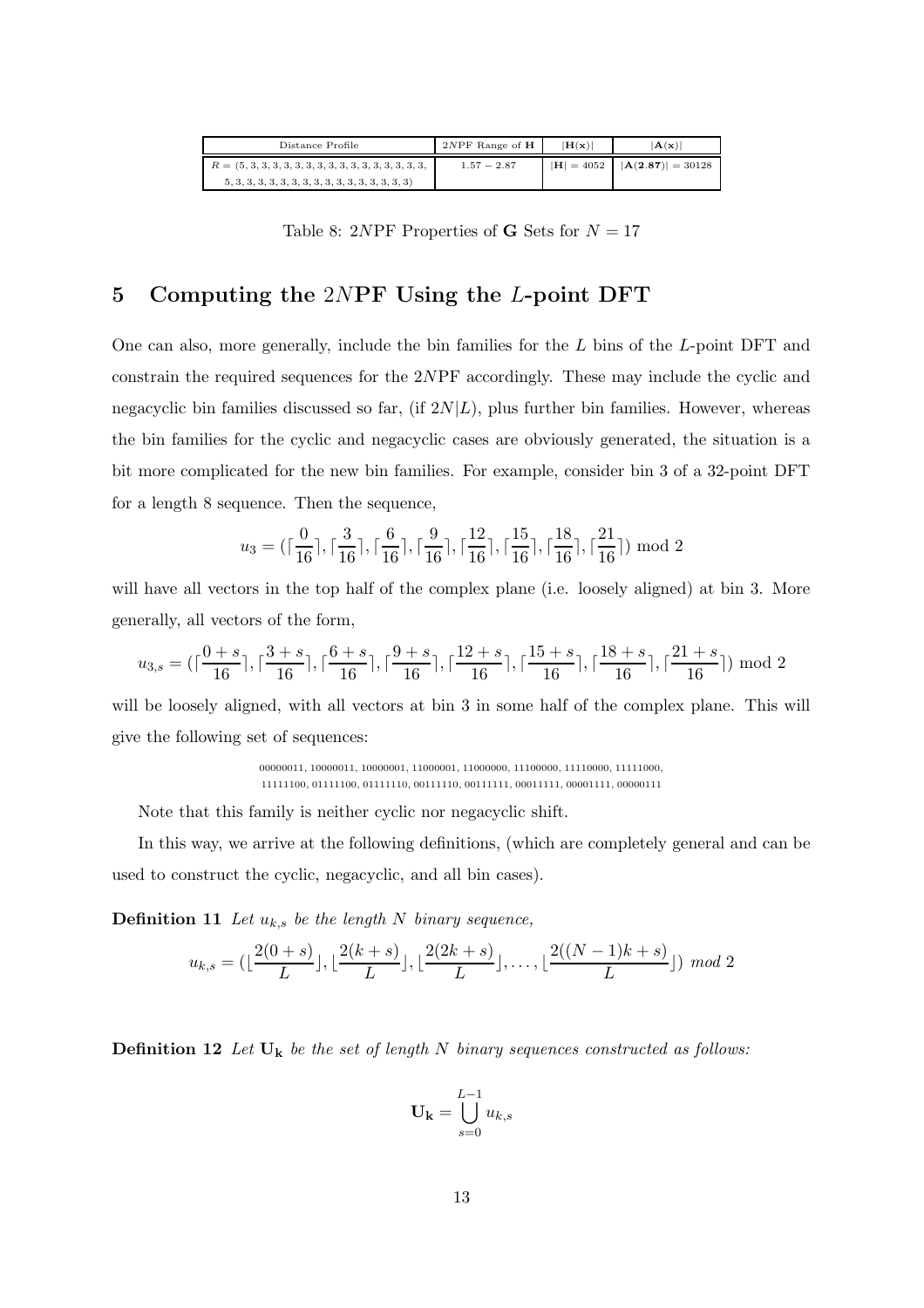| $2NPF$ Range of $H$ | $ H(\mathbf{x}) $ | $ {\bf A}({\bf x}) $                               |
|---------------------|-------------------|----------------------------------------------------|
| $1.57 - 2.87$       |                   | $ \mathbf{H}  = 4052$ $ \mathbf{A}(2.87)  = 30128$ |
|                     |                   |                                                    |

Table 8: 2NPF Properties of **G** Sets for  $N = 17$ 

## 5 Computing the 2NPF Using the L-point DFT

One can also, more generally, include the bin families for the L bins of the L-point DFT and constrain the required sequences for the 2NPF accordingly. These may include the cyclic and negacyclic bin families discussed so far, (if  $2N|L$ ), plus further bin families. However, whereas the bin families for the cyclic and negacyclic cases are obviously generated, the situation is a bit more complicated for the new bin families. For example, consider bin 3 of a 32-point DFT for a length 8 sequence. Then the sequence,

$$
u_3 = (\lceil \frac{0}{16} \rceil, \lceil \frac{3}{16} \rceil, \lceil \frac{6}{16} \rceil, \lceil \frac{9}{16} \rceil, \lceil \frac{12}{16} \rceil, \lceil \frac{15}{16} \rceil, \lceil \frac{18}{16} \rceil, \lceil \frac{21}{16} \rceil) \bmod 2
$$

will have all vectors in the top half of the complex plane (i.e. loosely aligned) at bin 3. More generally, all vectors of the form,

$$
u_{3,s} = (\lceil \frac{0+s}{16} \rceil, \lceil \frac{3+s}{16} \rceil, \lceil \frac{6+s}{16} \rceil, \lceil \frac{9+s}{16} \rceil, \lceil \frac{12+s}{16} \rceil, \lceil \frac{15+s}{16} \rceil, \lceil \frac{18+s}{16} \rceil, \lceil \frac{21+s}{16} \rceil) \bmod 2
$$

will be loosely aligned, with all vectors at bin 3 in some half of the complex plane. This will give the following set of sequences:

> 00000011, 10000011, 10000001, 11000001, 11000000, 11100000, 11110000, 11111000, 11111100, 01111100, 01111110, 00111110, 00111111, 00011111, 00001111, 00000111

Note that this family is neither cyclic nor negacyclic shift.

In this way, we arrive at the following definitions, (which are completely general and can be used to construct the cyclic, negacyclic, and all bin cases).

**Definition 11** Let  $u_{k,s}$  be the length N binary sequence,

$$
u_{k,s} = \left(\lfloor \frac{2(0+s)}{L} \rfloor, \lfloor \frac{2(k+s)}{L} \rfloor, \lfloor \frac{2(2k+s)}{L} \rfloor, \ldots, \lfloor \frac{2((N-1)k+s)}{L} \rfloor \right) \mod 2
$$

**Definition 12** Let  $U_k$  be the set of length N binary sequences constructed as follows:

$$
\mathbf{U_k} = \bigcup_{s=0}^{L-1} u_{k,s}
$$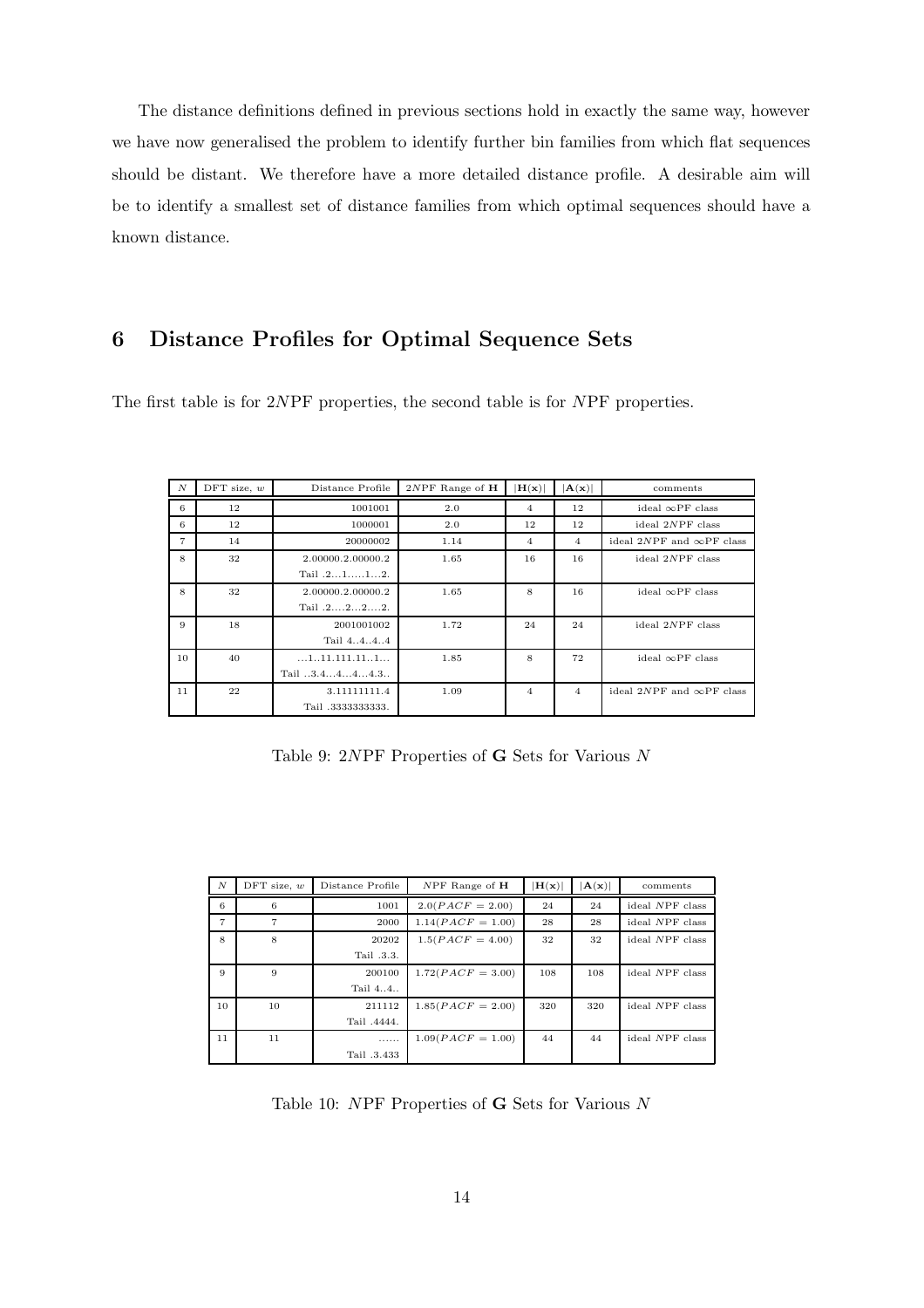The distance definitions defined in previous sections hold in exactly the same way, however we have now generalised the problem to identify further bin families from which flat sequences should be distant. We therefore have a more detailed distance profile. A desirable aim will be to identify a smallest set of distance families from which optimal sequences should have a known distance.

## 6 Distance Profiles for Optimal Sequence Sets

The first table is for 2NPF properties, the second table is for NPF properties.

| $\boldsymbol{N}$ | $DFT$ size, $w$ | Distance Profile                                    | $2NPF$ Range of $H$ | $ H(\mathbf{x}) $ | $ {\bf A}({\bf x}) $ | comments                         |
|------------------|-----------------|-----------------------------------------------------|---------------------|-------------------|----------------------|----------------------------------|
| 6                | 12              | 1001001                                             | 2.0                 | $\overline{4}$    | 12                   | ideal $\infty$ PF class          |
| 6                | 12              | 1000001                                             | 2.0                 | 12                | 12                   | ideal $2NPF$ class               |
| $\overline{7}$   | 14              | 20000002                                            | 1.14                | 4                 | $\overline{4}$       | ideal 2NPF and $\infty$ PF class |
| 8                | 32              | 2.00000.2.00000.2                                   | 1.65                | 16                | 16                   | ideal 2NPF class                 |
|                  |                 | Tail $.2112$ .                                      |                     |                   |                      |                                  |
| 8                | 32              | 2.00000.2.00000.2                                   | 1.65                | 8                 | 16                   | ideal $\infty$ PF class          |
|                  |                 | Tail $.2222$ .                                      |                     |                   |                      |                                  |
| 9                | 18              | 2001001002                                          | 1.72                | 24                | 24                   | ideal 2NPF class                 |
|                  |                 | Tail 4444                                           |                     |                   |                      |                                  |
| 10               | 40              | $\dots 1 \dots 11 \dots 111 \dots 11 \dots 1 \dots$ | 1.85                | 8                 | 72                   | ideal $\infty$ PF class          |
|                  |                 | Tail $3.4444.3$                                     |                     |                   |                      |                                  |
| 11               | 22              | 3.11111111.4                                        | 1.09                | 4                 | $\overline{4}$       | ideal 2NPF and $\infty$ PF class |
|                  |                 | Tail .33333333333.                                  |                     |                   |                      |                                  |

Table 9: 2NPF Properties of G Sets for Various N

| $\boldsymbol{N}$ | DFT size, $w$ | Distance Profile | $NPF$ Range of $H$  | H(x) | $ {\bf A}({\bf x}) $ | comments        |
|------------------|---------------|------------------|---------------------|------|----------------------|-----------------|
| 6                | 6             | 1001             | $2.0(PACF = 2.00)$  | 24   | 24                   | ideal NPF class |
| $\overline{7}$   | 7             | 2000             | $1.14(PACF = 1.00)$ | 28   | 28                   | ideal NPF class |
| 8                | 8             | 20202            | $1.5(PACF = 4.00)$  | 32   | 32                   | ideal NPF class |
|                  |               | Tail .3.3.       |                     |      |                      |                 |
| 9                | 9             | 200100           | $1.72(PACF = 3.00)$ | 108  | 108                  | ideal NPF class |
|                  |               | Tail 44          |                     |      |                      |                 |
| 10               | 10            | 211112           | $1.85(PACF = 2.00)$ | 320  | 320                  | ideal NPF class |
|                  |               | Tail .4444.      |                     |      |                      |                 |
| 11               | 11            | .                | $1.09(PACF = 1.00)$ | 44   | 44                   | ideal NPF class |
|                  |               | Tail .3.433      |                     |      |                      |                 |

Table 10:  $NPF$  Properties of **G** Sets for Various  $N$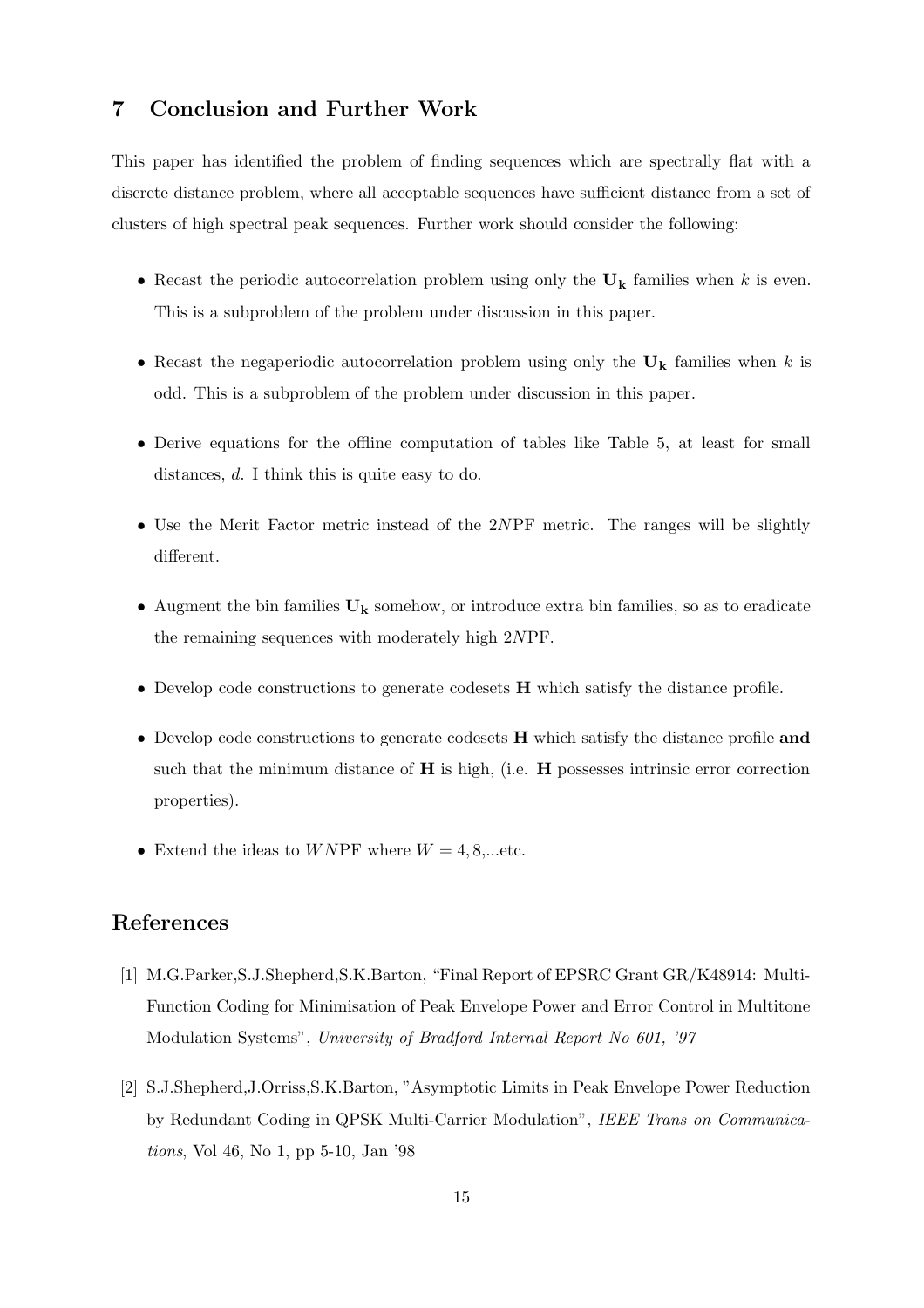## 7 Conclusion and Further Work

This paper has identified the problem of finding sequences which are spectrally flat with a discrete distance problem, where all acceptable sequences have sufficient distance from a set of clusters of high spectral peak sequences. Further work should consider the following:

- Recast the periodic autocorrelation problem using only the  $U_k$  families when k is even. This is a subproblem of the problem under discussion in this paper.
- Recast the negaperiodic autocorrelation problem using only the  $U_k$  families when k is odd. This is a subproblem of the problem under discussion in this paper.
- Derive equations for the offline computation of tables like Table 5, at least for small distances, d. I think this is quite easy to do.
- Use the Merit Factor metric instead of the 2NPF metric. The ranges will be slightly different.
- Augment the bin families  $U_k$  somehow, or introduce extra bin families, so as to eradicate the remaining sequences with moderately high 2NPF.
- Develop code constructions to generate codesets **H** which satisfy the distance profile.
- Develop code constructions to generate codesets H which satisfy the distance profile and such that the minimum distance of  $H$  is high, (i.e.  $H$  possesses intrinsic error correction properties).
- Extend the ideas to WNPF where  $W = 4, 8, \dots$ etc.

## References

- [1] M.G.Parker,S.J.Shepherd,S.K.Barton, "Final Report of EPSRC Grant GR/K48914: Multi-Function Coding for Minimisation of Peak Envelope Power and Error Control in Multitone Modulation Systems", University of Bradford Internal Report No 601, '97
- [2] S.J.Shepherd,J.Orriss,S.K.Barton, "Asymptotic Limits in Peak Envelope Power Reduction by Redundant Coding in QPSK Multi-Carrier Modulation", IEEE Trans on Communications, Vol 46, No 1, pp 5-10, Jan '98